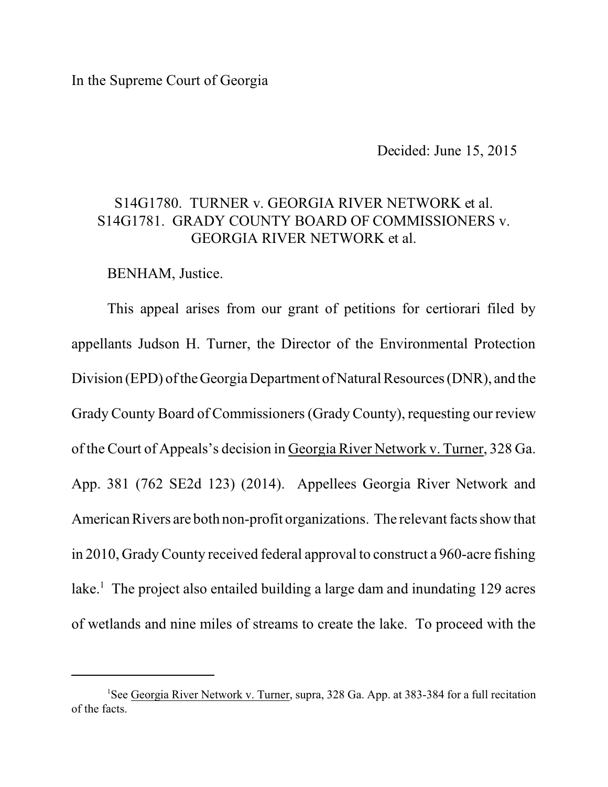In the Supreme Court of Georgia

Decided: June 15, 2015

## S14G1780. TURNER v. GEORGIA RIVER NETWORK et al. S14G1781. GRADY COUNTY BOARD OF COMMISSIONERS v. GEORGIA RIVER NETWORK et al.

BENHAM, Justice.

This appeal arises from our grant of petitions for certiorari filed by appellants Judson H. Turner, the Director of the Environmental Protection Division (EPD) of the Georgia Department of Natural Resources (DNR), and the Grady County Board of Commissioners (Grady County), requesting our review of the Court of Appeals's decision in Georgia River Network v. Turner, 328 Ga. App. 381 (762 SE2d 123) (2014). Appellees Georgia River Network and American Rivers are both non-profit organizations. The relevant facts show that in 2010, Grady County received federal approval to construct a 960-acre fishing lake.<sup>1</sup> The project also entailed building a large dam and inundating 129 acres of wetlands and nine miles of streams to create the lake. To proceed with the

<sup>&</sup>lt;sup>1</sup>See Georgia River Network v. Turner, supra, 328 Ga. App. at 383-384 for a full recitation of the facts.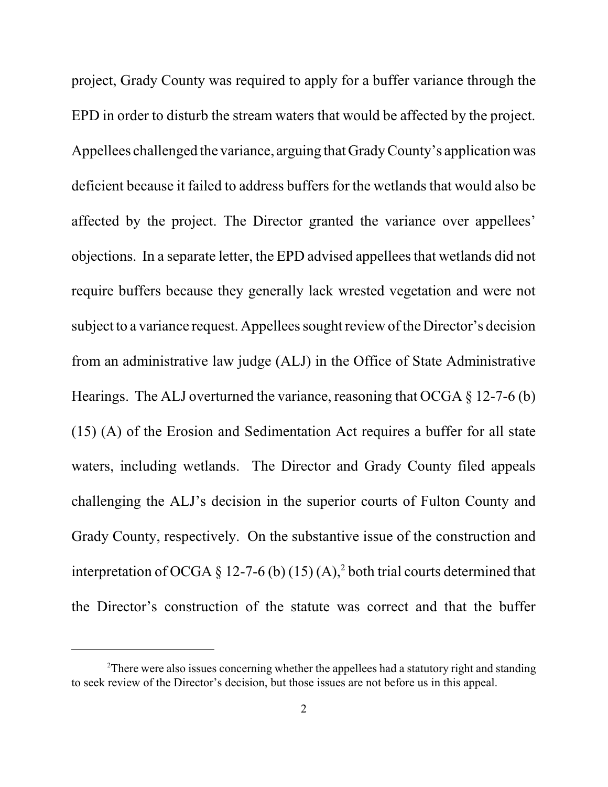project, Grady County was required to apply for a buffer variance through the EPD in order to disturb the stream waters that would be affected by the project. Appellees challenged the variance, arguing that GradyCounty's application was deficient because it failed to address buffers for the wetlands that would also be affected by the project. The Director granted the variance over appellees' objections. In a separate letter, the EPD advised appellees that wetlands did not require buffers because they generally lack wrested vegetation and were not subject to a variance request. Appellees sought review of the Director's decision from an administrative law judge (ALJ) in the Office of State Administrative Hearings. The ALJ overturned the variance, reasoning that OCGA  $\S$  12-7-6 (b) (15) (A) of the Erosion and Sedimentation Act requires a buffer for all state waters, including wetlands. The Director and Grady County filed appeals challenging the ALJ's decision in the superior courts of Fulton County and Grady County, respectively. On the substantive issue of the construction and interpretation of OCGA § 12-7-6 (b) (15) (A),<sup>2</sup> both trial courts determined that the Director's construction of the statute was correct and that the buffer

 $2$ There were also issues concerning whether the appellees had a statutory right and standing to seek review of the Director's decision, but those issues are not before us in this appeal.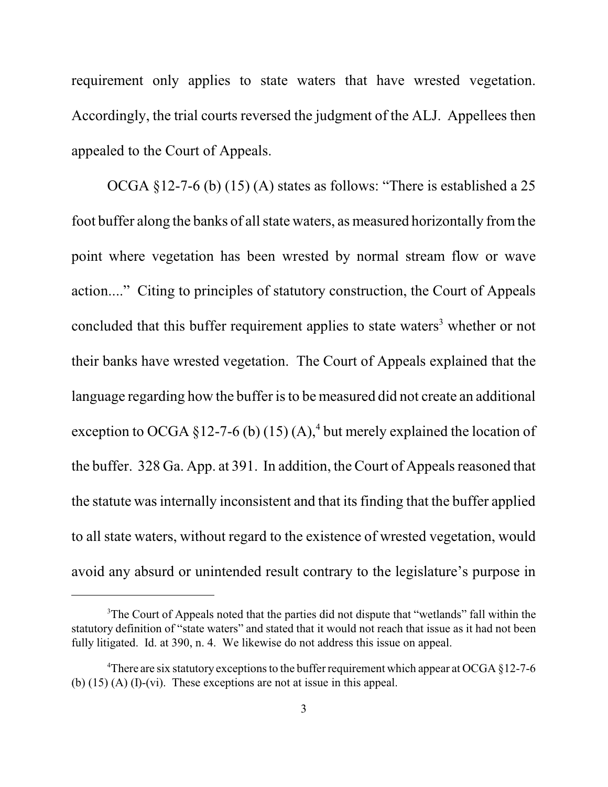requirement only applies to state waters that have wrested vegetation. Accordingly, the trial courts reversed the judgment of the ALJ. Appellees then appealed to the Court of Appeals.

OCGA §12-7-6 (b) (15) (A) states as follows: "There is established a 25 foot buffer along the banks of all state waters, as measured horizontally fromthe point where vegetation has been wrested by normal stream flow or wave action...." Citing to principles of statutory construction, the Court of Appeals concluded that this buffer requirement applies to state waters<sup>3</sup> whether or not their banks have wrested vegetation. The Court of Appeals explained that the language regarding how the buffer is to be measured did not create an additional exception to OCGA  $\S 12$ -7-6 (b) (15) (A),<sup>4</sup> but merely explained the location of the buffer. 328 Ga. App. at 391. In addition, the Court of Appeals reasoned that the statute was internally inconsistent and that its finding that the buffer applied to all state waters, without regard to the existence of wrested vegetation, would avoid any absurd or unintended result contrary to the legislature's purpose in

<sup>&</sup>lt;sup>3</sup>The Court of Appeals noted that the parties did not dispute that "wetlands" fall within the statutory definition of "state waters" and stated that it would not reach that issue as it had not been fully litigated. Id. at 390, n. 4. We likewise do not address this issue on appeal.

<sup>&</sup>lt;sup>4</sup>There are six statutory exceptions to the buffer requirement which appear at OCGA  $\S$ 12-7-6 (b) (15) (A) (I)-(vi). These exceptions are not at issue in this appeal.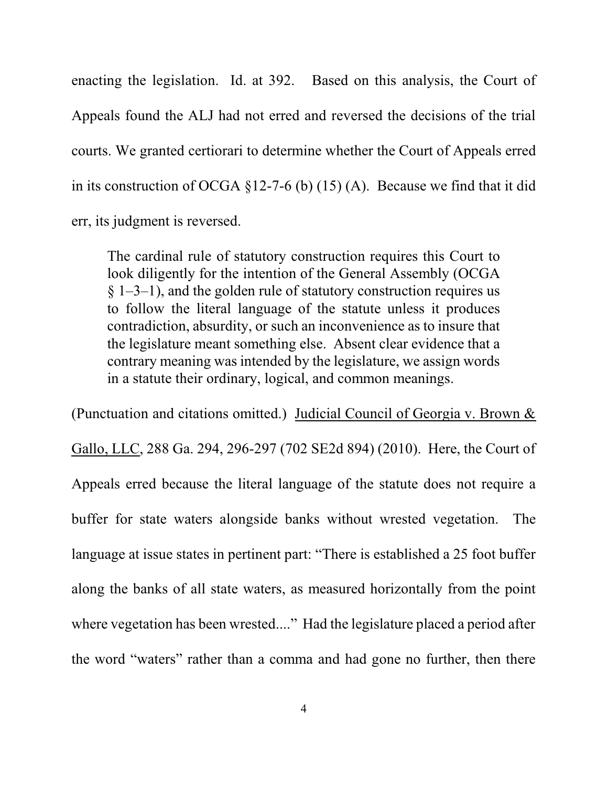enacting the legislation. Id. at 392. Based on this analysis, the Court of Appeals found the ALJ had not erred and reversed the decisions of the trial courts. We granted certiorari to determine whether the Court of Appeals erred in its construction of OCGA  $\S$ 12-7-6 (b) (15) (A). Because we find that it did err, its judgment is reversed.

The cardinal rule of statutory construction requires this Court to look diligently for the intention of the General Assembly (OCGA  $\S$  1–3–1), and the golden rule of statutory construction requires us to follow the literal language of the statute unless it produces contradiction, absurdity, or such an inconvenience as to insure that the legislature meant something else. Absent clear evidence that a contrary meaning was intended by the legislature, we assign words in a statute their ordinary, logical, and common meanings.

(Punctuation and citations omitted.) Judicial Council of Georgia v. Brown & Gallo, LLC, 288 Ga. 294, 296-297 (702 SE2d 894) (2010). Here, the Court of Appeals erred because the literal language of the statute does not require a buffer for state waters alongside banks without wrested vegetation. The language at issue states in pertinent part: "There is established a 25 foot buffer along the banks of all state waters, as measured horizontally from the point where vegetation has been wrested...." Had the legislature placed a period after the word "waters" rather than a comma and had gone no further, then there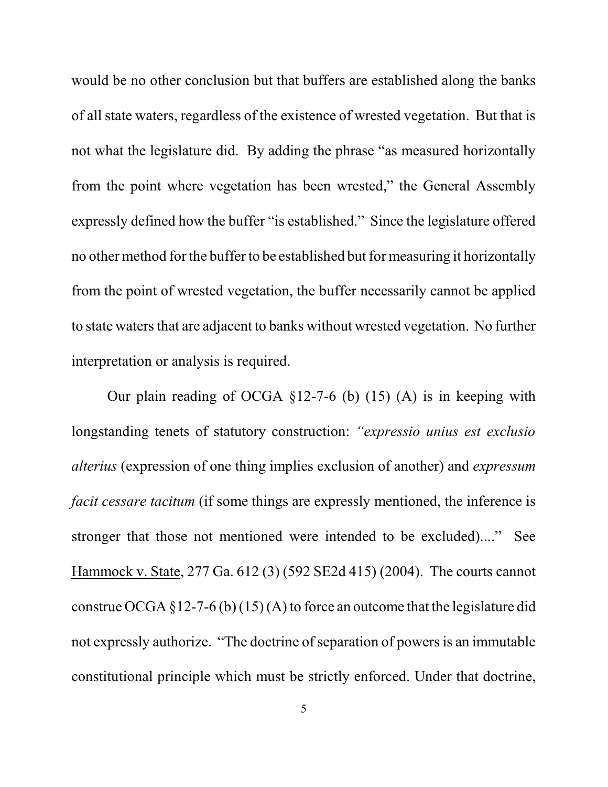would be no other conclusion but that buffers are established along the banks of all state waters, regardless of the existence of wrested vegetation. But that is not what the legislature did. By adding the phrase "as measured horizontally from the point where vegetation has been wrested," the General Assembly expressly defined how the buffer "is established." Since the legislature offered no other method for the buffer to be established but for measuring it horizontally from the point of wrested vegetation, the buffer necessarily cannot be applied to state waters that are adjacent to banks without wrested vegetation. No further interpretation or analysis is required.

Our plain reading of OCGA §12-7-6 (b) (15) (A) is in keeping with longstanding tenets of statutory construction: *"expressio unius est exclusio alterius* (expression of one thing implies exclusion of another) and *expressum facit cessare tacitum* (if some things are expressly mentioned, the inference is stronger that those not mentioned were intended to be excluded)...." See Hammock v. State, 277 Ga. 612 (3) (592 SE2d 415) (2004). The courts cannot construe OCGA  $\S 12$ -7-6 (b) (15) (A) to force an outcome that the legislature did not expressly authorize. "The doctrine of separation of powers is an immutable constitutional principle which must be strictly enforced. Under that doctrine,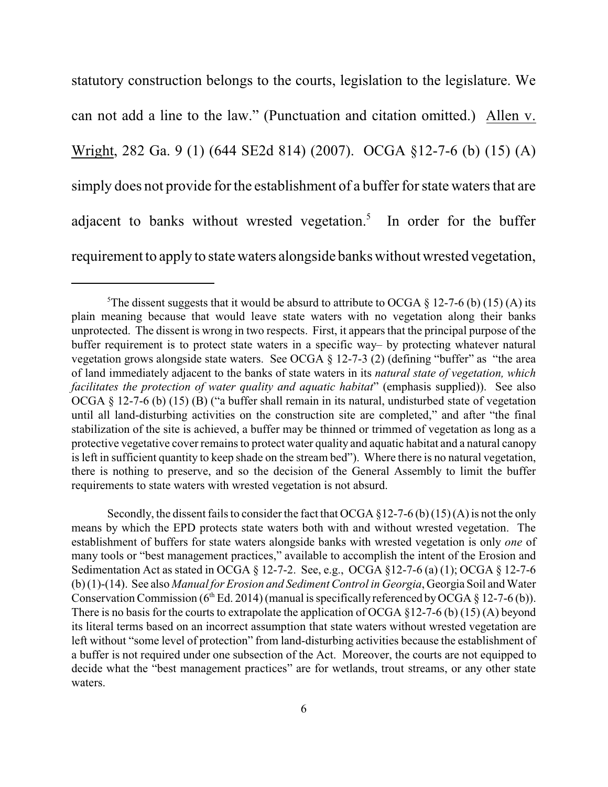statutory construction belongs to the courts, legislation to the legislature. We can not add a line to the law." (Punctuation and citation omitted.) Allen v. Wright, 282 Ga. 9 (1) (644 SE2d 814) (2007). OCGA §12-7-6 (b) (15) (A) simply does not provide for the establishment of a buffer for state waters that are adjacent to banks without wrested vegetation. 5 In order for the buffer requirement to apply to state waters alongside banks without wrested vegetation,

Secondly, the dissent fails to consider the fact that OCGA §12-7-6 (b) (15) (A) is not the only means by which the EPD protects state waters both with and without wrested vegetation. The establishment of buffers for state waters alongside banks with wrested vegetation is only *one* of many tools or "best management practices," available to accomplish the intent of the Erosion and Sedimentation Act as stated in OCGA § 12-7-2. See, e.g., OCGA §12-7-6 (a) (1); OCGA § 12-7-6 (b) (1)-(14). See also *Manual for Erosion and Sediment Control in Georgia*, Georgia Soil andWater Conservation Commission ( $6<sup>th</sup> Ed. 2014$ ) (manual is specifically referenced by OCGA § 12-7-6 (b)). There is no basis for the courts to extrapolate the application of OCGA §12-7-6 (b) (15) (A) beyond its literal terms based on an incorrect assumption that state waters without wrested vegetation are left without "some level of protection" from land-disturbing activities because the establishment of a buffer is not required under one subsection of the Act. Moreover, the courts are not equipped to decide what the "best management practices" are for wetlands, trout streams, or any other state waters.

<sup>&</sup>lt;sup>5</sup>The dissent suggests that it would be absurd to attribute to OCGA  $\S$  12-7-6 (b) (15) (A) its plain meaning because that would leave state waters with no vegetation along their banks unprotected. The dissent is wrong in two respects. First, it appears that the principal purpose of the buffer requirement is to protect state waters in a specific way– by protecting whatever natural vegetation grows alongside state waters. See OCGA § 12-7-3 (2) (defining "buffer" as "the area of land immediately adjacent to the banks of state waters in its *natural state of vegetation, which facilitates the protection of water quality and aquatic habitat*" (emphasis supplied)). See also OCGA § 12-7-6 (b) (15) (B) ("a buffer shall remain in its natural, undisturbed state of vegetation until all land-disturbing activities on the construction site are completed," and after "the final stabilization of the site is achieved, a buffer may be thinned or trimmed of vegetation as long as a protective vegetative cover remains to protect water quality and aquatic habitat and a natural canopy is left in sufficient quantity to keep shade on the stream bed"). Where there is no natural vegetation, there is nothing to preserve, and so the decision of the General Assembly to limit the buffer requirements to state waters with wrested vegetation is not absurd.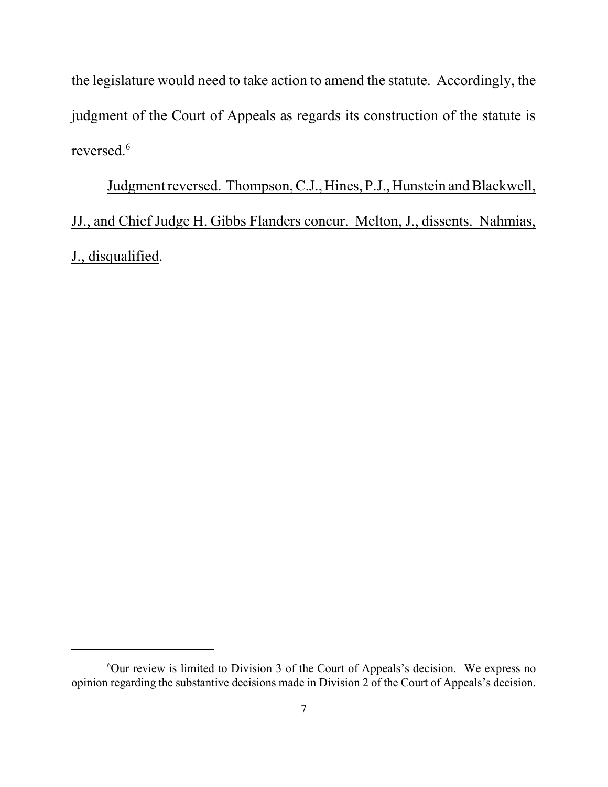the legislature would need to take action to amend the statute. Accordingly, the judgment of the Court of Appeals as regards its construction of the statute is reversed. 6

Judgment reversed. Thompson, C.J., Hines, P.J., Hunstein and Blackwell, JJ., and Chief Judge H. Gibbs Flanders concur. Melton, J., dissents. Nahmias, J., disqualified.

 $6$ Our review is limited to Division 3 of the Court of Appeals's decision. We express no opinion regarding the substantive decisions made in Division 2 of the Court of Appeals's decision.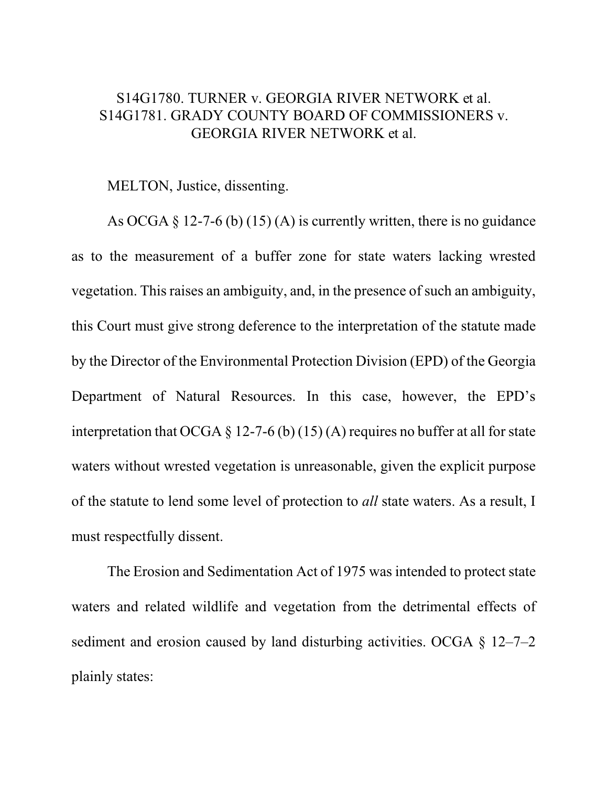## S14G1780. TURNER v. GEORGIA RIVER NETWORK et al. S14G1781. GRADY COUNTY BOARD OF COMMISSIONERS v. GEORGIA RIVER NETWORK et al.

## MELTON, Justice, dissenting.

As OCGA  $\S 12$ -7-6 (b) (15) (A) is currently written, there is no guidance as to the measurement of a buffer zone for state waters lacking wrested vegetation. This raises an ambiguity, and, in the presence of such an ambiguity, this Court must give strong deference to the interpretation of the statute made by the Director of the Environmental Protection Division (EPD) of the Georgia Department of Natural Resources. In this case, however, the EPD's interpretation that OCGA  $\S$  12-7-6 (b) (15) (A) requires no buffer at all for state waters without wrested vegetation is unreasonable, given the explicit purpose of the statute to lend some level of protection to *all* state waters. As a result, I must respectfully dissent.

The Erosion and Sedimentation Act of 1975 was intended to protect state waters and related wildlife and vegetation from the detrimental effects of sediment and erosion caused by land disturbing activities. OCGA § 12–7–2 plainly states: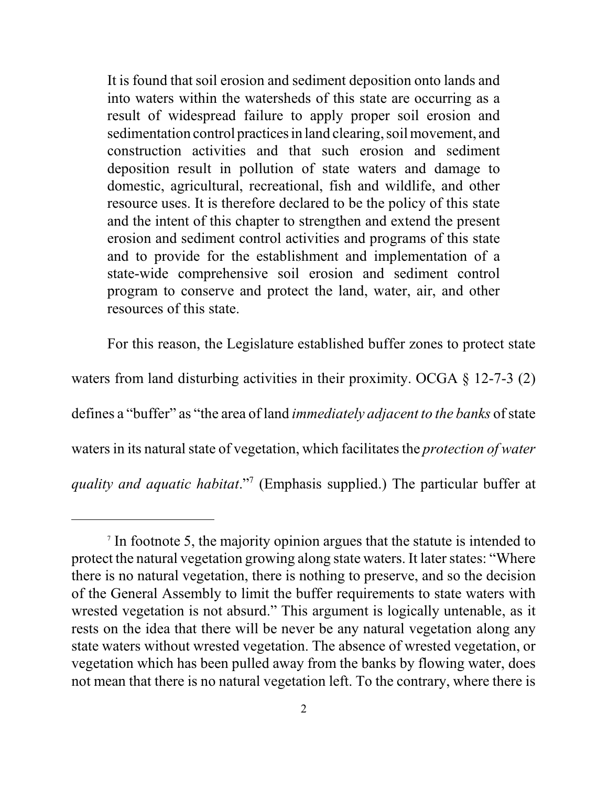It is found that soil erosion and sediment deposition onto lands and into waters within the watersheds of this state are occurring as a result of widespread failure to apply proper soil erosion and sedimentation control practices in land clearing, soil movement, and construction activities and that such erosion and sediment deposition result in pollution of state waters and damage to domestic, agricultural, recreational, fish and wildlife, and other resource uses. It is therefore declared to be the policy of this state and the intent of this chapter to strengthen and extend the present erosion and sediment control activities and programs of this state and to provide for the establishment and implementation of a state-wide comprehensive soil erosion and sediment control program to conserve and protect the land, water, air, and other resources of this state.

For this reason, the Legislature established buffer zones to protect state

waters from land disturbing activities in their proximity. OCGA § 12-7-3 (2) defines a "buffer" as "the area of land *immediately adjacent to the banks* of state waters in its natural state of vegetation, which facilitates the *protection of water quality and aquatic habitat*." 7 (Emphasis supplied.) The particular buffer at

<sup>7</sup> In footnote 5, the majority opinion argues that the statute is intended to protect the natural vegetation growing along state waters. It later states: "Where there is no natural vegetation, there is nothing to preserve, and so the decision of the General Assembly to limit the buffer requirements to state waters with wrested vegetation is not absurd." This argument is logically untenable, as it rests on the idea that there will be never be any natural vegetation along any state waters without wrested vegetation. The absence of wrested vegetation, or vegetation which has been pulled away from the banks by flowing water, does not mean that there is no natural vegetation left. To the contrary, where there is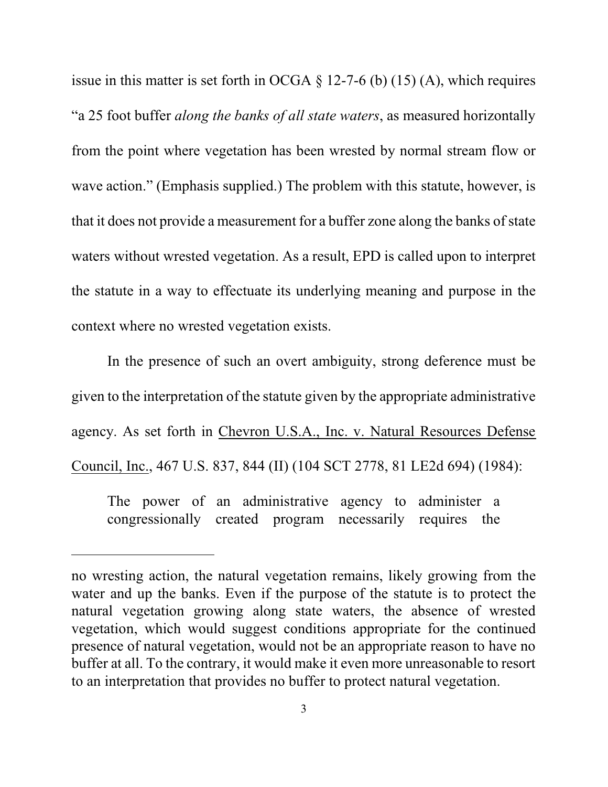issue in this matter is set forth in OCGA  $\S$  12-7-6 (b) (15) (A), which requires "a 25 foot buffer *along the banks of all state waters*, as measured horizontally from the point where vegetation has been wrested by normal stream flow or wave action." (Emphasis supplied.) The problem with this statute, however, is that it does not provide a measurement for a buffer zone along the banks of state waters without wrested vegetation. As a result, EPD is called upon to interpret the statute in a way to effectuate its underlying meaning and purpose in the context where no wrested vegetation exists.

In the presence of such an overt ambiguity, strong deference must be given to the interpretation of the statute given by the appropriate administrative agency. As set forth in Chevron U.S.A., Inc. v. Natural Resources Defense Council, Inc., 467 U.S. 837, 844 (II) (104 SCT 2778, 81 LE2d 694) (1984):

The power of an administrative agency to administer a congressionally created program necessarily requires the

no wresting action, the natural vegetation remains, likely growing from the water and up the banks. Even if the purpose of the statute is to protect the natural vegetation growing along state waters, the absence of wrested vegetation, which would suggest conditions appropriate for the continued presence of natural vegetation, would not be an appropriate reason to have no buffer at all. To the contrary, it would make it even more unreasonable to resort to an interpretation that provides no buffer to protect natural vegetation.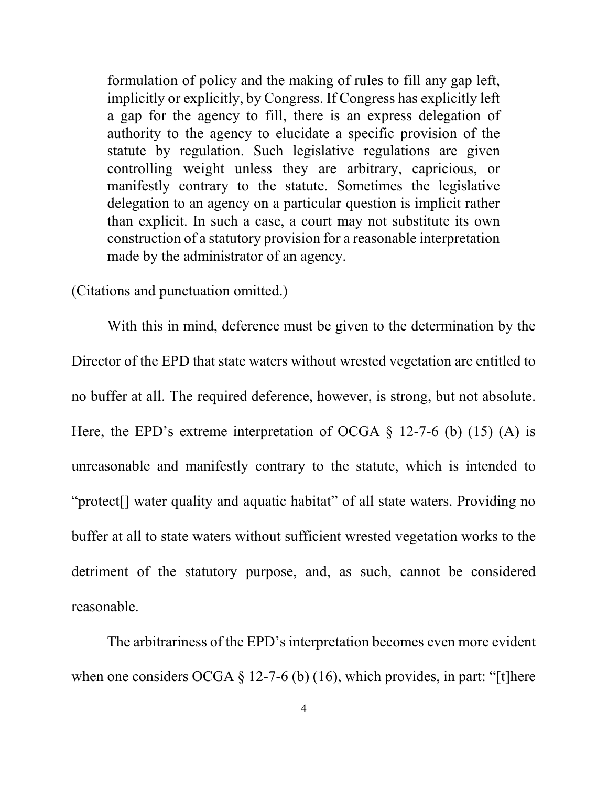formulation of policy and the making of rules to fill any gap left, implicitly or explicitly, by Congress. If Congress has explicitly left a gap for the agency to fill, there is an express delegation of authority to the agency to elucidate a specific provision of the statute by regulation. Such legislative regulations are given controlling weight unless they are arbitrary, capricious, or manifestly contrary to the statute. Sometimes the legislative delegation to an agency on a particular question is implicit rather than explicit. In such a case, a court may not substitute its own construction of a statutory provision for a reasonable interpretation made by the administrator of an agency.

(Citations and punctuation omitted.)

With this in mind, deference must be given to the determination by the Director of the EPD that state waters without wrested vegetation are entitled to no buffer at all. The required deference, however, is strong, but not absolute. Here, the EPD's extreme interpretation of OCGA  $\S$  12-7-6 (b) (15) (A) is unreasonable and manifestly contrary to the statute, which is intended to "protect[] water quality and aquatic habitat" of all state waters. Providing no buffer at all to state waters without sufficient wrested vegetation works to the detriment of the statutory purpose, and, as such, cannot be considered reasonable.

The arbitrariness of the EPD's interpretation becomes even more evident when one considers OCGA  $\S$  12-7-6 (b) (16), which provides, in part: "[t]here